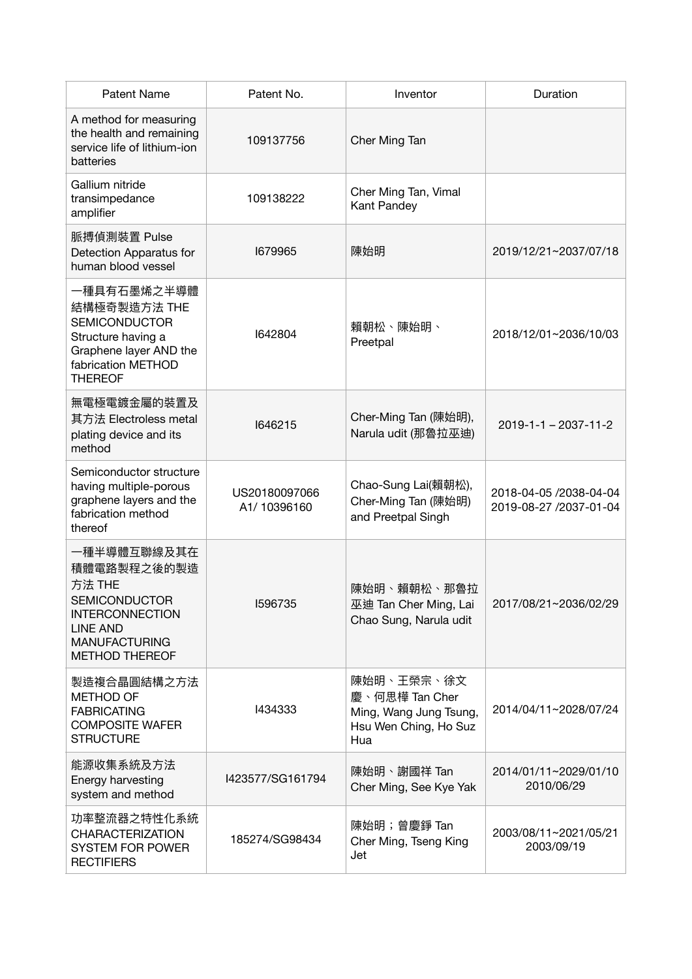| <b>Patent Name</b>                                                                                                                                         | Patent No.                   | Inventor                                                                               | Duration                                         |
|------------------------------------------------------------------------------------------------------------------------------------------------------------|------------------------------|----------------------------------------------------------------------------------------|--------------------------------------------------|
| A method for measuring<br>the health and remaining<br>service life of lithium-ion<br>batteries                                                             | 109137756                    | Cher Ming Tan                                                                          |                                                  |
| Gallium nitride<br>transimpedance<br>amplifier                                                                                                             | 109138222                    | Cher Ming Tan, Vimal<br>Kant Pandey                                                    |                                                  |
| 脈搏偵測裝置 Pulse<br>Detection Apparatus for<br>human blood vessel                                                                                              | 1679965                      | 陳始明                                                                                    | 2019/12/21~2037/07/18                            |
| 一種具有石墨烯之半導體<br>結構極奇製造方法 THE<br><b>SEMICONDUCTOR</b><br>Structure having a<br>Graphene layer AND the<br>fabrication METHOD<br><b>THEREOF</b>                | 1642804                      | 賴朝松、陳始明、<br>Preetpal                                                                   | 2018/12/01~2036/10/03                            |
| 無電極電鍍金屬的裝置及<br>其方法 Electroless metal<br>plating device and its<br>method                                                                                   | 1646215                      | Cher-Ming Tan (陳始明),<br>Narula udit (那魯拉巫迪)                                            | $2019 - 1 - 2037 - 11 - 2$                       |
| Semiconductor structure<br>having multiple-porous<br>graphene layers and the<br>fabrication method<br>thereof                                              | US20180097066<br>A1/10396160 | Chao-Sung Lai(賴朝松),<br>Cher-Ming Tan (陳始明)<br>and Preetpal Singh                       | 2018-04-05 /2038-04-04<br>2019-08-27 /2037-01-04 |
| 一種半導體互聯線及其在<br>積體電路製程之後的製造<br>方法 THE<br><b>SEMICONDUCTOR</b><br><b>INTERCONNECTION</b><br><b>LINE AND</b><br><b>MANUFACTURING</b><br><b>METHOD THEREOF</b> | 1596735                      | 陳始明、賴朝松、那魯拉<br>巫迪 Tan Cher Ming, Lai<br>Chao Sung, Narula udit                         | 2017/08/21~2036/02/29                            |
| 製造複合晶圓結構之方法<br><b>METHOD OF</b><br><b>FABRICATING</b><br><b>COMPOSITE WAFER</b><br><b>STRUCTURE</b>                                                        | 1434333                      | 陳始明、王榮宗、徐文<br>慶、何思樺 Tan Cher<br>Ming, Wang Jung Tsung,<br>Hsu Wen Ching, Ho Suz<br>Hua | 2014/04/11~2028/07/24                            |
| 能源收集系統及方法<br>Energy harvesting<br>system and method                                                                                                        | I423577/SG161794             | 陳始明、謝國祥 Tan<br>Cher Ming, See Kye Yak                                                  | 2014/01/11~2029/01/10<br>2010/06/29              |
| 功率整流器之特性化系統<br><b>CHARACTERIZATION</b><br><b>SYSTEM FOR POWER</b><br><b>RECTIFIERS</b>                                                                     | 185274/SG98434               | 陳始明;曾慶錚 Tan<br>Cher Ming, Tseng King<br>Jet                                            | 2003/08/11~2021/05/21<br>2003/09/19              |